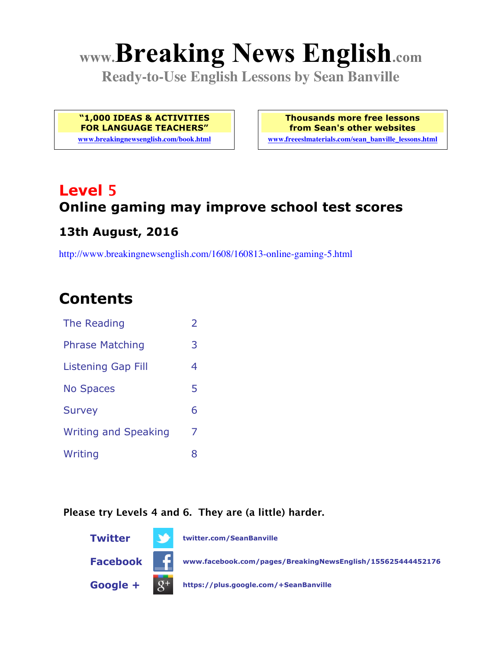# **www.Breaking News English.com**

**Ready-to-Use English Lessons by Sean Banville**

**"1,000 IDEAS & ACTIVITIES FOR LANGUAGE TEACHERS"**

**www.breakingnewsenglish.com/book.html**

**Thousands more free lessons from Sean's other websites www.freeeslmaterials.com/sean\_banville\_lessons.html**

# **Level 5 Online gaming may improve school test scores**

#### **13th August, 2016**

http://www.breakingnewsenglish.com/1608/160813-online-gaming-5.html

### **Contents**

| The Reading                 | $\overline{\phantom{a}}$ |
|-----------------------------|--------------------------|
| <b>Phrase Matching</b>      | 3                        |
| <b>Listening Gap Fill</b>   | 4                        |
| <b>No Spaces</b>            | 5                        |
| <b>Survey</b>               | 6                        |
| <b>Writing and Speaking</b> | 7                        |
| Writing                     | 8                        |

#### **Please try Levels 4 and 6. They are (a little) harder.**

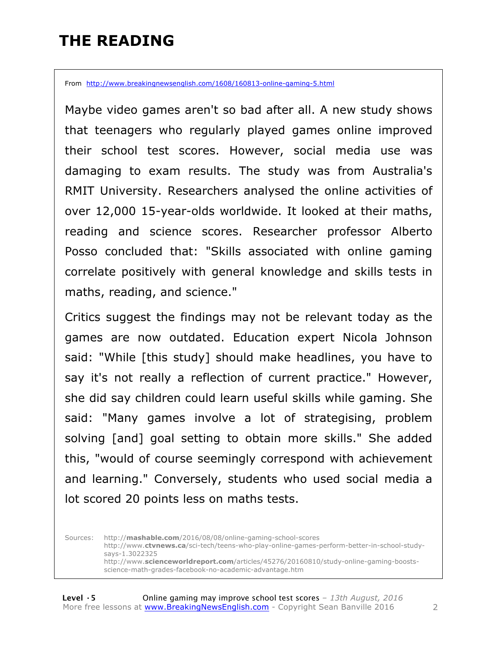### **THE READING**

From http://www.breakingnewsenglish.com/1608/160813-online-gaming-5.html

Maybe video games aren't so bad after all. A new study shows that teenagers who regularly played games online improved their school test scores. However, social media use was damaging to exam results. The study was from Australia's RMIT University. Researchers analysed the online activities of over 12,000 15-year-olds worldwide. It looked at their maths, reading and science scores. Researcher professor Alberto Posso concluded that: "Skills associated with online gaming correlate positively with general knowledge and skills tests in maths, reading, and science."

Critics suggest the findings may not be relevant today as the games are now outdated. Education expert Nicola Johnson said: "While [this study] should make headlines, you have to say it's not really a reflection of current practice." However, she did say children could learn useful skills while gaming. She said: "Many games involve a lot of strategising, problem solving [and] goal setting to obtain more skills." She added this, "would of course seemingly correspond with achievement and learning." Conversely, students who used social media a lot scored 20 points less on maths tests.

Sources: http://**mashable.com**/2016/08/08/online-gaming-school-scores http://www.**ctvnews.ca**/sci-tech/teens-who-play-online-games-perform-better-in-school-studysays-1.3022325 http://www.**scienceworldreport.com**/articles/45276/20160810/study-online-gaming-boostsscience-math-grades-facebook-no-academic-advantage.htm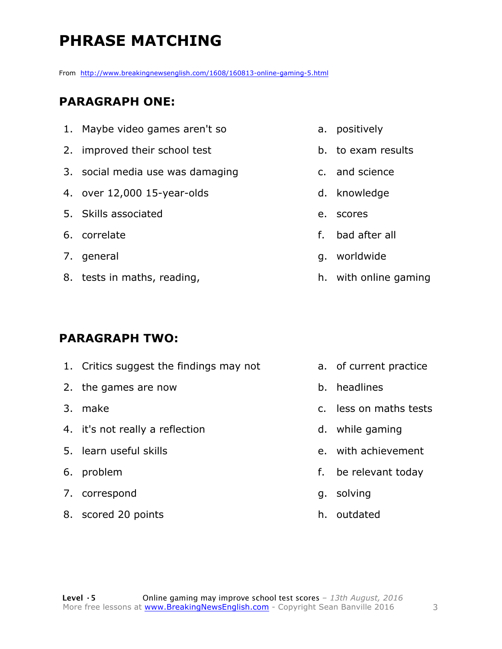### **PHRASE MATCHING**

From http://www.breakingnewsenglish.com/1608/160813-online-gaming-5.html

#### **PARAGRAPH ONE:**

- 1. Maybe video games aren't so
- 2. improved their school test
- 3. social media use was damaging
- 4. over 12,000 15-year-olds
- 5. Skills associated
- 6. correlate
- 7. general
- 8. tests in maths, reading,

#### **PARAGRAPH TWO:**

- 1. Critics suggest the findings may not 2. the games are now 3. make 4. it's not really a reflection 5. learn useful skills 6. problem 7. correspond a. of current practice b. headlines c. less on maths tests d. while gaming g. solving
- 8. scored 20 points
- a. positively
- b. to exam results
- c. and science
- d. knowledge
- e. scores
- f. bad after all
- g. worldwide
- h. with online gaming

- 
- e. with achievement
- f. be relevant today
- h. outdated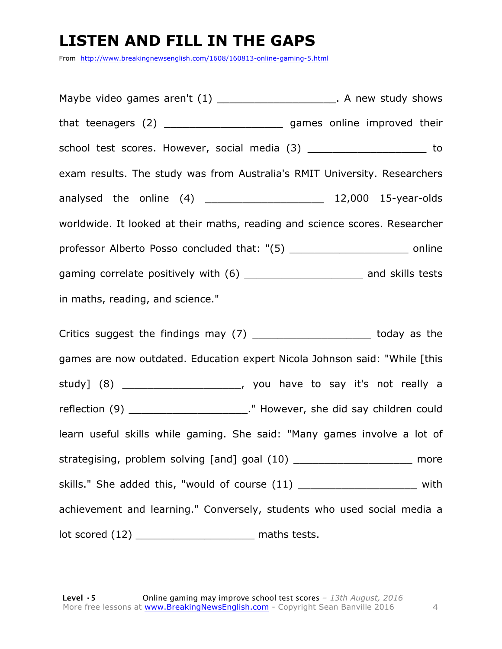### **LISTEN AND FILL IN THE GAPS**

From http://www.breakingnewsenglish.com/1608/160813-online-gaming-5.html

Maybe video games aren't (1) and the study shows in A new study shows that teenagers (2) \_\_\_\_\_\_\_\_\_\_\_\_\_\_\_\_\_\_\_\_\_\_\_\_\_ games online improved their school test scores. However, social media (3) \_\_\_\_\_\_\_\_\_\_\_\_\_\_\_\_\_\_\_\_\_ to exam results. The study was from Australia's RMIT University. Researchers analysed the online (4) \_\_\_\_\_\_\_\_\_\_\_\_\_\_\_\_\_\_\_\_\_\_\_\_\_ 12,000 15-year-olds worldwide. It looked at their maths, reading and science scores. Researcher professor Alberto Posso concluded that: "(5) \_\_\_\_\_\_\_\_\_\_\_\_\_\_\_\_\_\_\_ online gaming correlate positively with (6) \_\_\_\_\_\_\_\_\_\_\_\_\_\_\_\_\_\_\_\_\_\_\_\_\_ and skills tests in maths, reading, and science."

Critics suggest the findings may (7) The studies of the state of the state of the control of the Critics suggest games are now outdated. Education expert Nicola Johnson said: "While [this study] (8) \_\_\_\_\_\_\_\_\_\_\_\_\_\_\_\_\_\_\_, you have to say it's not really a reflection (9) \_\_\_\_\_\_\_\_\_\_\_\_\_\_\_\_\_\_\_\_\_\_\_\_." However, she did say children could learn useful skills while gaming. She said: "Many games involve a lot of strategising, problem solving [and] goal (10) \_\_\_\_\_\_\_\_\_\_\_\_\_\_\_\_\_\_\_\_\_\_ more skills." She added this, "would of course (11) \_\_\_\_\_\_\_\_\_\_\_\_\_\_\_\_\_\_\_\_\_\_ with achievement and learning." Conversely, students who used social media a lot scored (12) \_\_\_\_\_\_\_\_\_\_\_\_\_\_\_\_\_\_\_ maths tests.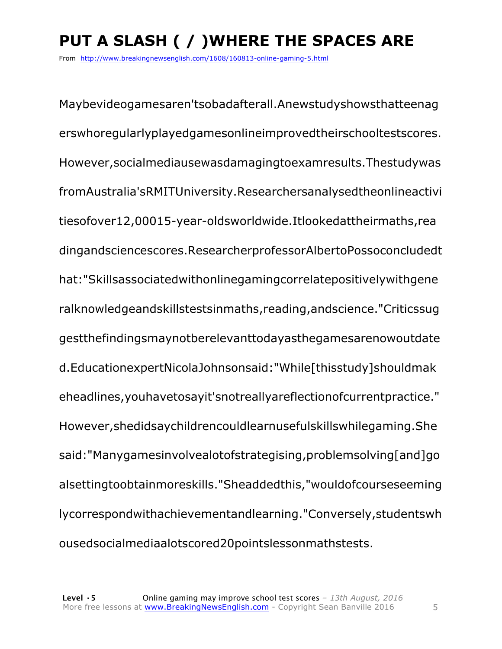## **PUT A SLASH ( / )WHERE THE SPACES ARE**

From http://www.breakingnewsenglish.com/1608/160813-online-gaming-5.html

Maybevideogamesaren'tsobadafterall.Anewstudyshowsthatteenag erswhoregularlyplayedgamesonlineimprovedtheirschooltestscores. However,socialmediausewasdamagingtoexamresults.Thestudywas fromAustralia'sRMITUniversity.Researchersanalysedtheonlineactivi tiesofover12,00015-year-oldsworldwide.Itlookedattheirmaths,rea dingandsciencescores.ResearcherprofessorAlbertoPossoconcludedt hat:"Skillsassociatedwithonlinegamingcorrelatepositivelywithgene ralknowledgeandskillstestsinmaths,reading,andscience."Criticssug gestthefindingsmaynotberelevanttodayasthegamesarenowoutdate d.EducationexpertNicolaJohnsonsaid:"While[thisstudy]shouldmak eheadlines,youhavetosayit'snotreallyareflectionofcurrentpractice." However,shedidsaychildrencouldlearnusefulskillswhilegaming.She said:"Manygamesinvolvealotofstrategising,problemsolving[and]go alsettingtoobtainmoreskills."Sheaddedthis,"wouldofcourseseeming lycorrespondwithachievementandlearning."Conversely,studentswh ousedsocialmediaalotscored20pointslessonmathstests.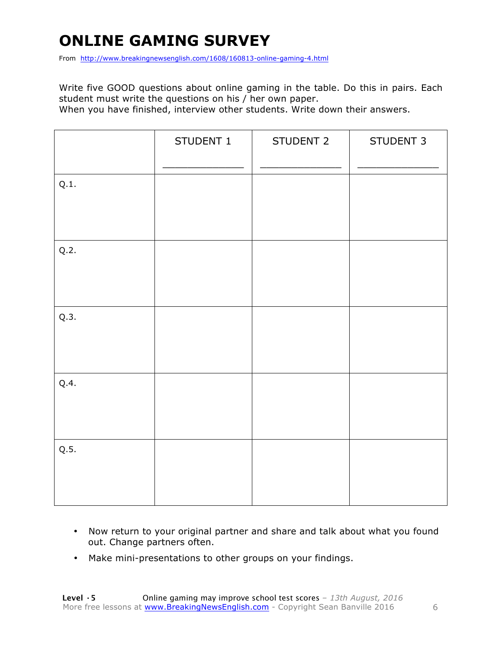### **ONLINE GAMING SURVEY**

From http://www.breakingnewsenglish.com/1608/160813-online-gaming-4.html

Write five GOOD questions about online gaming in the table. Do this in pairs. Each student must write the questions on his / her own paper.

When you have finished, interview other students. Write down their answers.

|      | STUDENT 1 | STUDENT 2 | STUDENT 3 |
|------|-----------|-----------|-----------|
| Q.1. |           |           |           |
| Q.2. |           |           |           |
| Q.3. |           |           |           |
| Q.4. |           |           |           |
| Q.5. |           |           |           |

- Now return to your original partner and share and talk about what you found out. Change partners often.
- Make mini-presentations to other groups on your findings.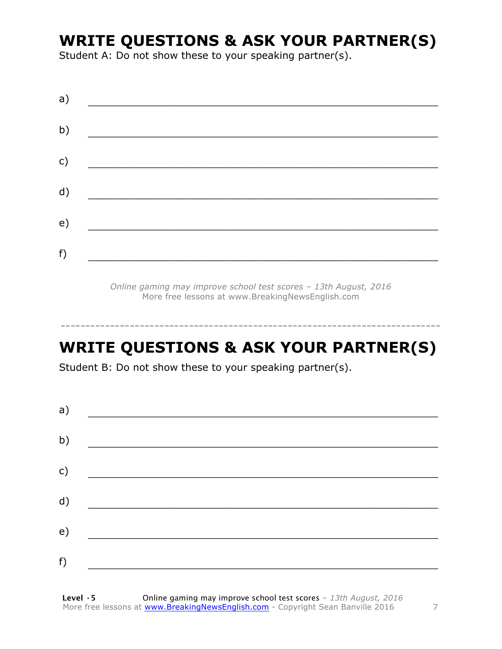### **WRITE QUESTIONS & ASK YOUR PARTNER(S)**

Student A: Do not show these to your speaking partner(s).

| a) |  |  |
|----|--|--|
| b) |  |  |
| c) |  |  |
| d) |  |  |
| e) |  |  |
| f) |  |  |
|    |  |  |

*Online gaming may improve school test scores – 13th August, 2016* More free lessons at www.BreakingNewsEnglish.com

### **WRITE QUESTIONS & ASK YOUR PARTNER(S)**

-----------------------------------------------------------------------------

Student B: Do not show these to your speaking partner(s).

| a) |  |  |
|----|--|--|
| b) |  |  |
| c) |  |  |
| d) |  |  |
| e) |  |  |
| f) |  |  |
|    |  |  |